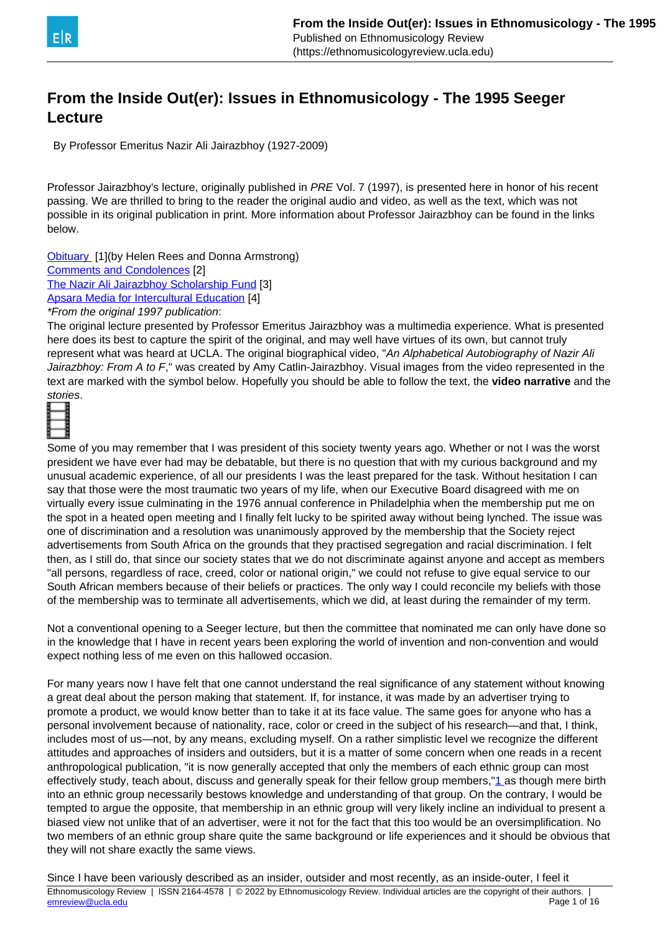<span id="page-0-0"></span>

# **From the Inside Out(er): Issues in Ethnomusicology - The 1995 Seeger Lecture**

By Professor Emeritus Nazir Ali Jairazbhoy (1927-2009)

Professor Jairazbhoy's lecture, originally published in PRE Vol. 7 (1997), is presented here in honor of his recent passing. We are thrilled to bring to the reader the original audio and video, as well as the text, which was not possible in its original publication in print. More information about Professor Jairazbhoy can be found in the links below.

[Obituary](https://ethnomusicologyreview.ucla.edu/newsevents/news/jairazbhoy.htm) [1](by Helen Rees and Donna Armstrong)

[Comments and Condolences](https://ethnomusicologyreview.ucla.edu/newsevents/news/jairazbhoy2.htm) [2]

[The Nazir Ali Jairazbhoy Scholarship Fund](https://ethnomusicologyreview.ucla.edu/newsevents/news/jairazbhoy3.htm) [3]

[Apsara Media for Intercultural Education](http://www.apsara-media.com/) [4]

\*From the original 1997 publication:

The original lecture presented by Professor Emeritus Jairazbhoy was a multimedia experience. What is presented here does its best to capture the spirit of the original, and may well have virtues of its own, but cannot truly represent what was heard at UCLA. The original biographical video, "An Alphabetical Autobiography of Nazir Ali Jairazbhoy: From A to F," was created by Amy Catlin-Jairazbhoy. Visual images from the video represented in the text are marked with the symbol below. Hopefully you should be able to follow the text, the **video narrative** and the stories.



Some of you may remember that I was president of this society twenty years ago. Whether or not I was the worst president we have ever had may be debatable, but there is no question that with my curious background and my unusual academic experience, of all our presidents I was the least prepared for the task. Without hesitation I can say that those were the most traumatic two years of my life, when our Executive Board disagreed with me on virtually every issue culminating in the 1976 annual conference in Philadelphia when the membership put me on the spot in a heated open meeting and I finally felt lucky to be spirited away without being lynched. The issue was one of discrimination and a resolution was unanimously approved by the membership that the Society reject advertisements from South Africa on the grounds that they practised segregation and racial discrimination. I felt then, as I still do, that since our society states that we do not discriminate against anyone and accept as members "all persons, regardless of race, creed, color or national origin," we could not refuse to give equal service to our South African members because of their beliefs or practices. The only way I could reconcile my beliefs with those of the membership was to terminate all advertisements, which we did, at least during the remainder of my term.

Not a conventional opening to a Seeger lecture, but then the committee that nominated me can only have done so in the knowledge that I have in recent years been exploring the world of invention and non-convention and would expect nothing less of me even on this hallowed occasion.

For many years now I have felt that one cannot understand the real significance of any statement without knowing a great deal about the person making that statement. If, for instance, it was made by an advertiser trying to promote a product, we would know better than to take it at its face value. The same goes for anyone who has a personal involvement because of nationality, race, color or creed in the subject of his research—and that, I think, includes most of us—not, by any means, excluding myself. On a rather simplistic level we recognize the different attitudes and approaches of insiders and outsiders, but it is a matter of some concern when one reads in a recent anthropological publication, "it is now generally accepted that only the members of each ethnic group can most effectively study, teach about, discuss and generally speak for their fellow group members,"[1](#page-0-0) as though mere birth into an ethnic group necessarily bestows knowledge and understanding of that group. On the contrary, I would be tempted to argue the opposite, that membership in an ethnic group will very likely incline an individual to present a biased view not unlike that of an advertiser, were it not for the fact that this too would be an oversimplification. No two members of an ethnic group share quite the same background or life experiences and it should be obvious that they will not share exactly the same views.

Since I have been variously described as an insider, outsider and most recently, as an inside-outer, I feel it Ethnomusicology Review | ISSN 2164-4578 | @ 2022 by Ethnomusicology Review. Individual articles are the copyright of their authors. | [emreview@ucla.edu](mailto:emreview@ucla.edu) Page 1 of 16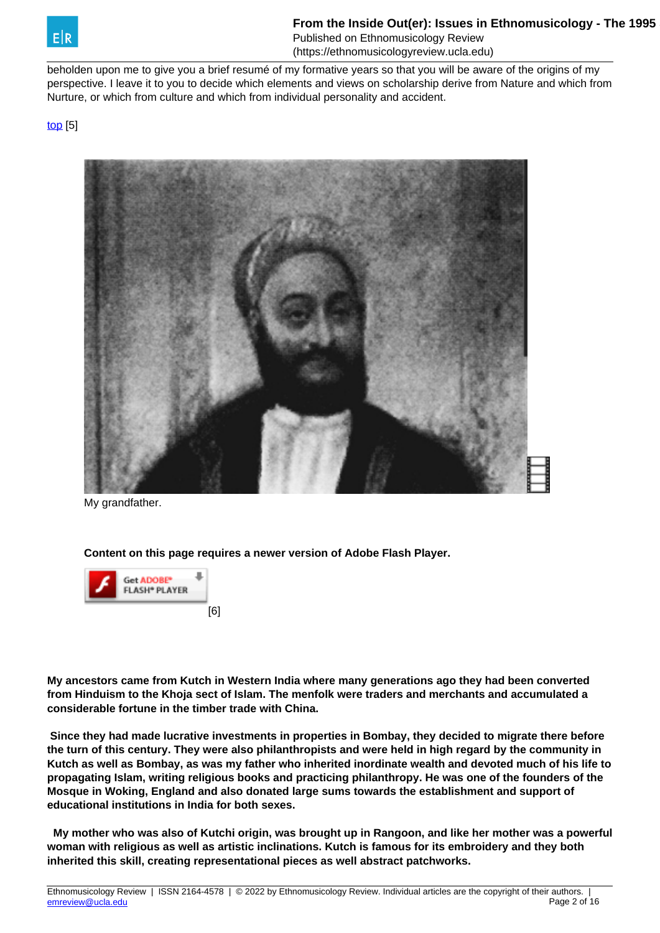

beholden upon me to give you a brief resumé of my formative years so that you will be aware of the origins of my perspective. I leave it to you to decide which elements and views on scholarship derive from Nature and which from Nurture, or which from culture and which from individual personality and accident.

[top](https://ethnomusicologyreview.ucla.edu/V14Jairazbhoy.html) [5]



My grandfather.

**Content on this page requires a newer version of Adobe Flash Player.**



**My ancestors came from Kutch in Western India where many generations ago they had been converted from Hinduism to the Khoja sect of Islam. The menfolk were traders and merchants and accumulated a considerable fortune in the timber trade with China.**

 **Since they had made lucrative investments in properties in Bombay, they decided to migrate there before the turn of this century. They were also philanthropists and were held in high regard by the community in Kutch as well as Bombay, as was my father who inherited inordinate wealth and devoted much of his life to propagating Islam, writing religious books and practicing philanthropy. He was one of the founders of the Mosque in Woking, England and also donated large sums towards the establishment and support of educational institutions in India for both sexes.**

 **My mother who was also of Kutchi origin, was brought up in Rangoon, and like her mother was a powerful woman with religious as well as artistic inclinations. Kutch is famous for its embroidery and they both inherited this skill, creating representational pieces as well abstract patchworks.**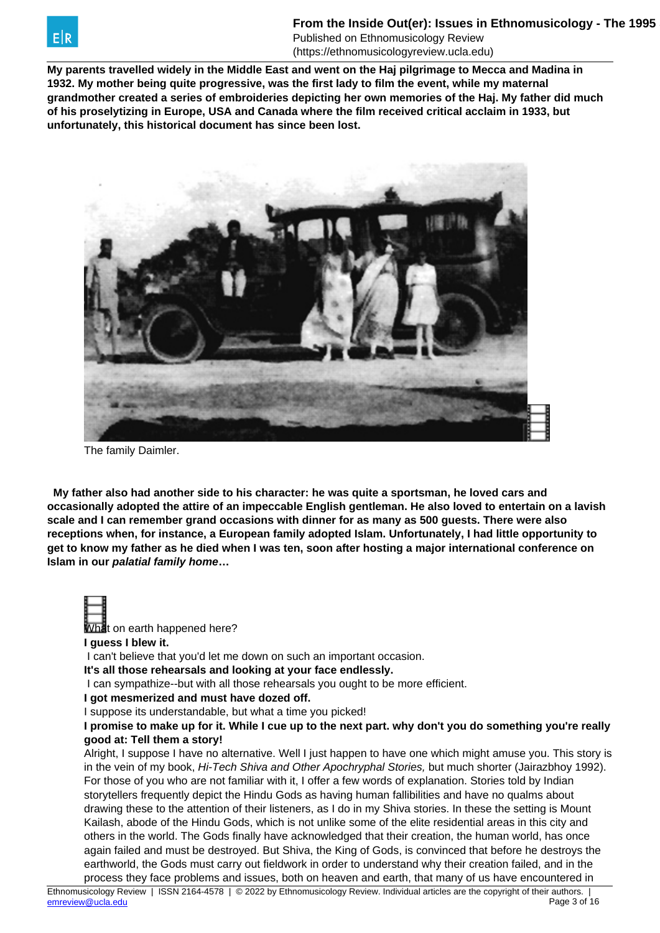

(https://ethnomusicologyreview.ucla.edu)

**My parents travelled widely in the Middle East and went on the Haj pilgrimage to Mecca and Madina in 1932. My mother being quite progressive, was the first lady to film the event, while my maternal grandmother created a series of embroideries depicting her own memories of the Haj. My father did much of his proselytizing in Europe, USA and Canada where the film received critical acclaim in 1933, but unfortunately, this historical document has since been lost.**



The family Daimler.

 **My father also had another side to his character: he was quite a sportsman, he loved cars and occasionally adopted the attire of an impeccable English gentleman. He also loved to entertain on a lavish scale and I can remember grand occasions with dinner for as many as 500 guests. There were also receptions when, for instance, a European family adopted Islam. Unfortunately, I had little opportunity to get to know my father as he died when I was ten, soon after hosting a major international conference on Islam in our palatial family home…**

What on earth happened here?

**I guess I blew it.**

I can't believe that you'd let me down on such an important occasion.

**It's all those rehearsals and looking at your face endlessly.**

I can sympathize--but with all those rehearsals you ought to be more efficient.

**I got mesmerized and must have dozed off.**

I suppose its understandable, but what a time you picked!

**I promise to make up for it. While I cue up to the next part. why don't you do something you're really good at: Tell them a story!**

Alright, I suppose I have no alternative. Well I just happen to have one which might amuse you. This story is in the vein of my book, Hi-Tech Shiva and Other Apochryphal Stories, but much shorter (Jairazbhoy 1992). For those of you who are not familiar with it, I offer a few words of explanation. Stories told by Indian storytellers frequently depict the Hindu Gods as having human fallibilities and have no qualms about drawing these to the attention of their listeners, as I do in my Shiva stories. In these the setting is Mount Kailash, abode of the Hindu Gods, which is not unlike some of the elite residential areas in this city and others in the world. The Gods finally have acknowledged that their creation, the human world, has once again failed and must be destroyed. But Shiva, the King of Gods, is convinced that before he destroys the earthworld, the Gods must carry out fieldwork in order to understand why their creation failed, and in the process they face problems and issues, both on heaven and earth, that many of us have encountered in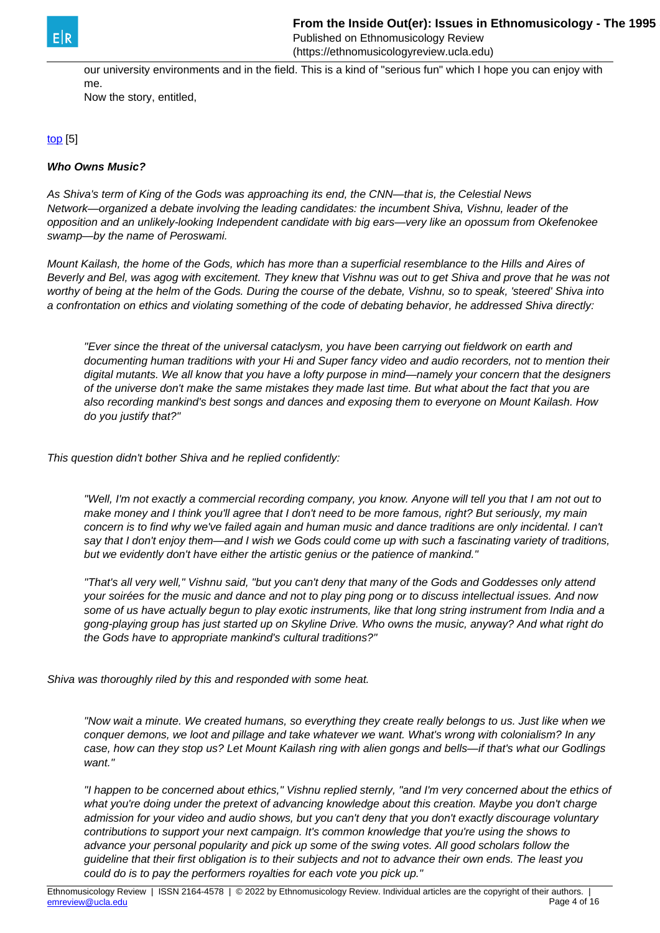(https://ethnomusicologyreview.ucla.edu)

our university environments and in the field. This is a kind of "serious fun" which I hope you can enjoy with me.

Now the story, entitled,

[top](https://ethnomusicologyreview.ucla.edu/V14Jairazbhoy.html) [5]

### **Who Owns Music?**

As Shiva's term of King of the Gods was approaching its end, the CNN-that is, the Celestial News Network—organized a debate involving the leading candidates: the incumbent Shiva, Vishnu, leader of the opposition and an unlikely-looking Independent candidate with big ears—very like an opossum from Okefenokee swamp—by the name of Peroswami.

Mount Kailash, the home of the Gods, which has more than a superficial resemblance to the Hills and Aires of Beverly and Bel, was agog with excitement. They knew that Vishnu was out to get Shiva and prove that he was not worthy of being at the helm of the Gods. During the course of the debate, Vishnu, so to speak, 'steered' Shiva into a confrontation on ethics and violating something of the code of debating behavior, he addressed Shiva directly:

"Ever since the threat of the universal cataclysm, you have been carrying out fieldwork on earth and documenting human traditions with your Hi and Super fancy video and audio recorders, not to mention their digital mutants. We all know that you have a lofty purpose in mind—namely your concern that the designers of the universe don't make the same mistakes they made last time. But what about the fact that you are also recording mankind's best songs and dances and exposing them to everyone on Mount Kailash. How do you justify that?"

This question didn't bother Shiva and he replied confidently:

"Well, I'm not exactly a commercial recording company, you know. Anyone will tell you that I am not out to make money and I think you'll agree that I don't need to be more famous, right? But seriously, my main concern is to find why we've failed again and human music and dance traditions are only incidental. I can't say that I don't enjoy them—and I wish we Gods could come up with such a fascinating variety of traditions, but we evidently don't have either the artistic genius or the patience of mankind."

"That's all very well," Vishnu said, "but you can't deny that many of the Gods and Goddesses only attend your soirées for the music and dance and not to play ping pong or to discuss intellectual issues. And now some of us have actually begun to play exotic instruments, like that long string instrument from India and a gong-playing group has just started up on Skyline Drive. Who owns the music, anyway? And what right do the Gods have to appropriate mankind's cultural traditions?"

Shiva was thoroughly riled by this and responded with some heat.

"Now wait a minute. We created humans, so everything they create really belongs to us. Just like when we conquer demons, we loot and pillage and take whatever we want. What's wrong with colonialism? In any case, how can they stop us? Let Mount Kailash ring with alien gongs and bells—if that's what our Godlings want."

"I happen to be concerned about ethics," Vishnu replied sternly, "and I'm very concerned about the ethics of what you're doing under the pretext of advancing knowledge about this creation. Maybe you don't charge admission for your video and audio shows, but you can't deny that you don't exactly discourage voluntary contributions to support your next campaign. It's common knowledge that you're using the shows to advance your personal popularity and pick up some of the swing votes. All good scholars follow the guideline that their first obligation is to their subjects and not to advance their own ends. The least you could do is to pay the performers royalties for each vote you pick up."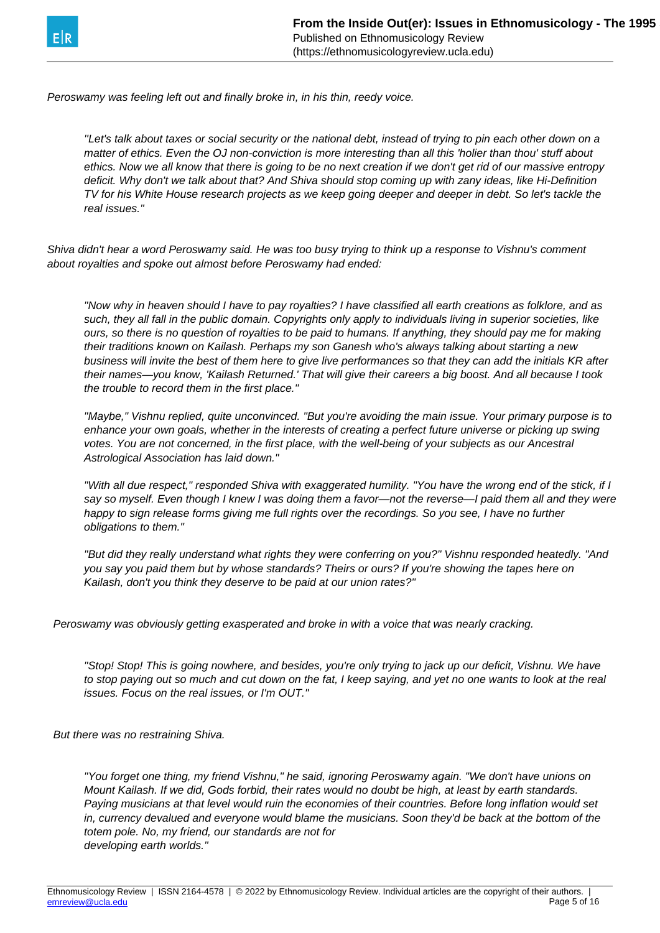

Peroswamy was feeling left out and finally broke in, in his thin, reedy voice.

''Let's talk about taxes or social security or the national debt, instead of trying to pin each other down on a matter of ethics. Even the OJ non-conviction is more interesting than all this 'holier than thou' stuff about ethics. Now we all know that there is going to be no next creation if we don't get rid of our massive entropy deficit. Why don't we talk about that? And Shiva should stop coming up with zany ideas, like Hi-Definition TV for his White House research projects as we keep going deeper and deeper in debt. So let's tackle the real issues."

Shiva didn't hear a word Peroswamy said. He was too busy trying to think up a response to Vishnu's comment about royalties and spoke out almost before Peroswamy had ended:

"Now why in heaven should I have to pay royalties? I have classified all earth creations as folklore, and as such, they all fall in the public domain. Copyrights only apply to individuals living in superior societies, like ours, so there is no question of royalties to be paid to humans. If anything, they should pay me for making their traditions known on Kailash. Perhaps my son Ganesh who's always talking about starting a new business will invite the best of them here to give live performances so that they can add the initials KR after their names—you know, 'Kailash Returned.' That will give their careers a big boost. And all because I took the trouble to record them in the first place."

"Maybe," Vishnu replied, quite unconvinced. "But you're avoiding the main issue. Your primary purpose is to enhance your own goals, whether in the interests of creating a perfect future universe or picking up swing votes. You are not concerned, in the first place, with the well-being of your subjects as our Ancestral Astrological Association has laid down."

"With all due respect," responded Shiva with exaggerated humility. "You have the wrong end of the stick, if I say so myself. Even though I knew I was doing them a favor-not the reverse-I paid them all and they were happy to sign release forms giving me full rights over the recordings. So you see, I have no further obligations to them."

"But did they really understand what rights they were conferring on you?" Vishnu responded heatedly. "And you say you paid them but by whose standards? Theirs or ours? If you're showing the tapes here on Kailash, don't you think they deserve to be paid at our union rates?"

Peroswamy was obviously getting exasperated and broke in with a voice that was nearly cracking.

"Stop! Stop! This is going nowhere, and besides, you're only trying to jack up our deficit, Vishnu. We have to stop paying out so much and cut down on the fat, I keep saying, and yet no one wants to look at the real issues. Focus on the real issues, or I'm OUT."

But there was no restraining Shiva.

"You forget one thing, my friend Vishnu," he said, ignoring Peroswamy again. "We don't have unions on Mount Kailash. If we did, Gods forbid, their rates would no doubt be high, at least by earth standards. Paying musicians at that level would ruin the economies of their countries. Before long inflation would set in, currency devalued and everyone would blame the musicians. Soon they'd be back at the bottom of the totem pole. No, my friend, our standards are not for developing earth worlds."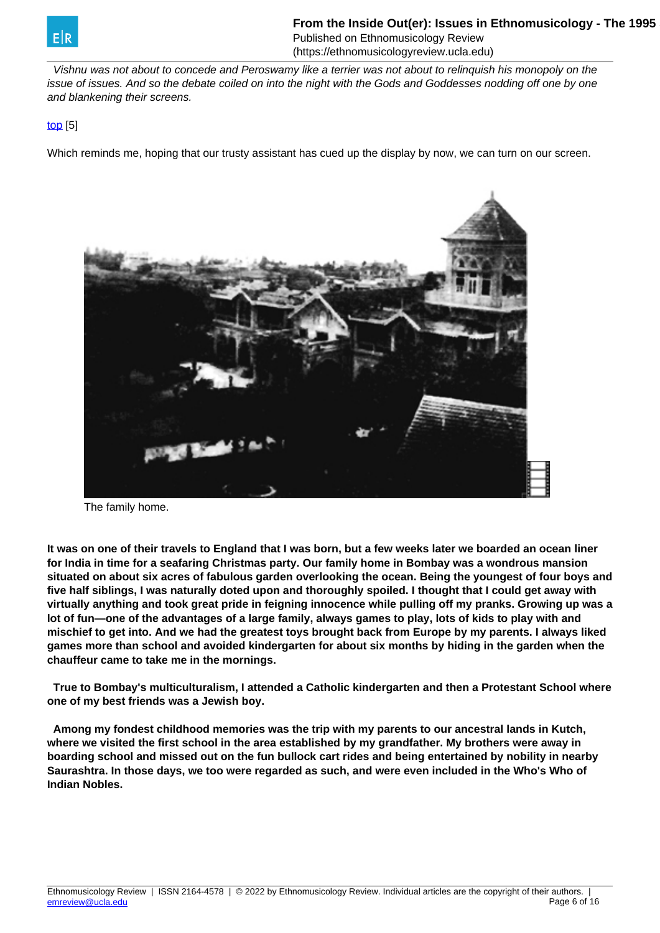

 Vishnu was not about to concede and Peroswamy like a terrier was not about to relinquish his monopoly on the issue of issues. And so the debate coiled on into the night with the Gods and Goddesses nodding off one by one and blankening their screens.

### [top](https://ethnomusicologyreview.ucla.edu/V14Jairazbhoy.html) [5]

Which reminds me, hoping that our trusty assistant has cued up the display by now, we can turn on our screen.



The family home.

**It was on one of their travels to England that I was born, but a few weeks later we boarded an ocean liner for India in time for a seafaring Christmas party. Our family home in Bombay was a wondrous mansion situated on about six acres of fabulous garden overlooking the ocean. Being the youngest of four boys and five half siblings, I was naturally doted upon and thoroughly spoiled. I thought that I could get away with virtually anything and took great pride in feigning innocence while pulling off my pranks. Growing up was a lot of fun—one of the advantages of a large family, always games to play, lots of kids to play with and mischief to get into. And we had the greatest toys brought back from Europe by my parents. I always liked games more than school and avoided kindergarten for about six months by hiding in the garden when the chauffeur came to take me in the mornings.**

 **True to Bombay's multiculturalism, I attended a Catholic kindergarten and then a Protestant School where one of my best friends was a Jewish boy.**

 **Among my fondest childhood memories was the trip with my parents to our ancestral lands in Kutch, where we visited the first school in the area established by my grandfather. My brothers were away in boarding school and missed out on the fun bullock cart rides and being entertained by nobility in nearby Saurashtra. In those days, we too were regarded as such, and were even included in the Who's Who of Indian Nobles.**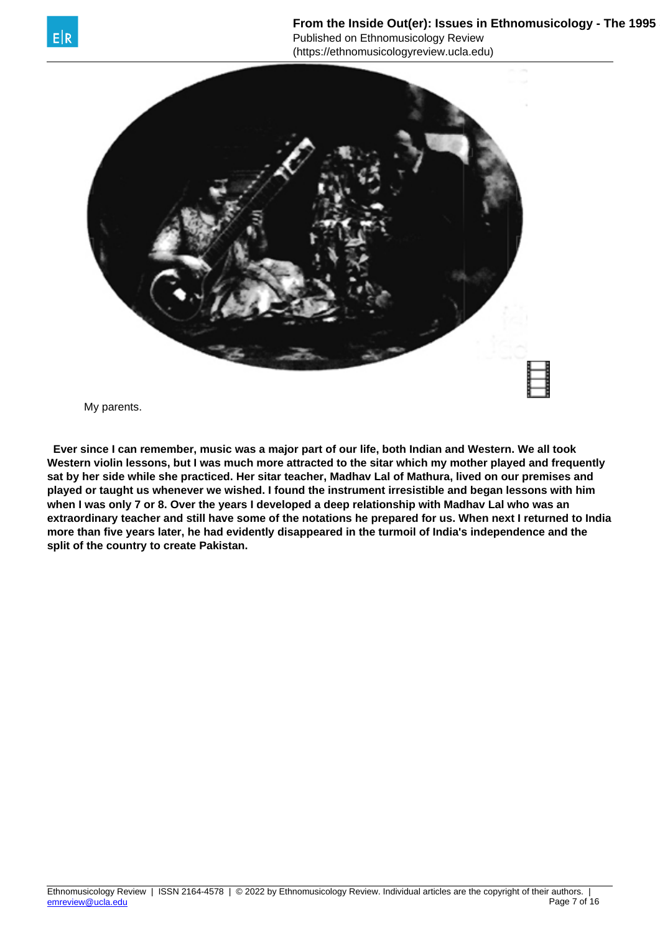

From the Inside Out(er): Issues in Ethnomusicology - The 1995 Published on Ethnomusicology Review

(https://ethnomusicologyreview.ucla.edu)



My parents.

 **Ever since I can remember, music was a major part of our life, both Indian and Western. We all took Western violin lessons, but I was much more attracted to the sitar which my mother played and frequently sat by her side while she practiced. Her sitar teacher, Madhav Lal of Mathura, lived on our premises and played or taught us whenever we wished. I found the instrument irresistible and began lessons with him when I was only 7 or 8. Over the years I developed a deep relationship with Madhav Lal who was an extraordinary teacher and still have some of the notations he prepared for us. When next I returned to India more than five years later, he had evidently disappeared in the turmoil of India's independence and the split of the country to create Pakistan.**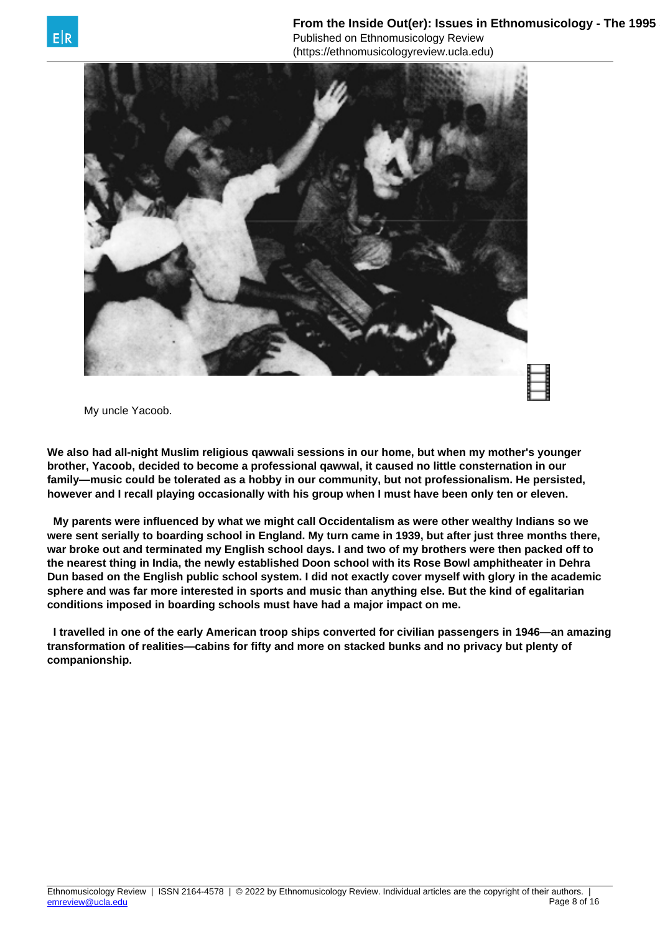

My uncle Yacoob.

**We also had all-night Muslim religious qawwali sessions in our home, but when my mother's younger brother, Yacoob, decided to become a professional qawwal, it caused no little consternation in our family—music could be tolerated as a hobby in our community, but not professionalism. He persisted, however and I recall playing occasionally with his group when I must have been only ten or eleven.**

 **My parents were influenced by what we might call Occidentalism as were other wealthy Indians so we were sent serially to boarding school in England. My turn came in 1939, but after just three months there, war broke out and terminated my English school days. I and two of my brothers were then packed off to the nearest thing in India, the newly established Doon school with its Rose Bowl amphitheater in Dehra Dun based on the English public school system. I did not exactly cover myself with glory in the academic sphere and was far more interested in sports and music than anything else. But the kind of egalitarian conditions imposed in boarding schools must have had a major impact on me.**

 **I travelled in one of the early American troop ships converted for civilian passengers in 1946—an amazing transformation of realities—cabins for fifty and more on stacked bunks and no privacy but plenty of companionship.**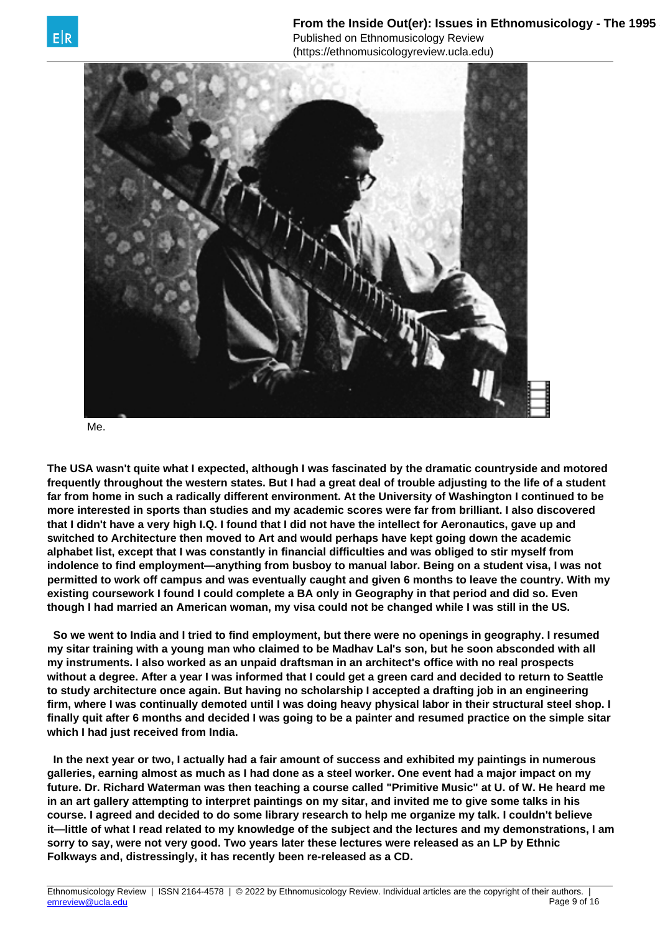

Me.

**The USA wasn't quite what I expected, although I was fascinated by the dramatic countryside and motored frequently throughout the western states. But I had a great deal of trouble adjusting to the life of a student far from home in such a radically different environment. At the University of Washington I continued to be more interested in sports than studies and my academic scores were far from brilliant. I also discovered that I didn't have a very high I.Q. I found that I did not have the intellect for Aeronautics, gave up and switched to Architecture then moved to Art and would perhaps have kept going down the academic alphabet list, except that I was constantly in financial difficulties and was obliged to stir myself from indolence to find employment—anything from busboy to manual labor. Being on a student visa, I was not permitted to work off campus and was eventually caught and given 6 months to leave the country. With my existing coursework I found I could complete a BA only in Geography in that period and did so. Even [though I had ma](mailto:emreview@ucla.edu)rried an American woman, my visa could not be changed while I was still in the US.**

 **So we went to India and I tried to find employment, but there were no openings in geography. I resumed my sitar training with a young man who claimed to be Madhav Lal's son, but he soon absconded with all my instruments. I also worked as an unpaid draftsman in an architect's office with no real prospects without a degree. After a year I was informed that I could get a green card and decided to return to Seattle to study architecture once again. But having no scholarship I accepted a drafting job in an engineering firm, where I was continually demoted until I was doing heavy physical labor in their structural steel shop. I finally quit after 6 months and decided I was going to be a painter and resumed practice on the simple sitar which I had just received from India.**

 **In the next year or two, I actually had a fair amount of success and exhibited my paintings in numerous galleries, earning almost as much as I had done as a steel worker. One event had a major impact on my future. Dr. Richard Waterman was then teaching a course called "Primitive Music" at U. of W. He heard me in an art gallery attempting to interpret paintings on my sitar, and invited me to give some talks in his course. I agreed and decided to do some library research to help me organize my talk. I couldn't believe it—little of what I read related to my knowledge of the subject and the lectures and my demonstrations, I am sorry to say, were not very good. Two years later these lectures were released as an LP by Ethnic Folkways and, distressingly, it has recently been re-released as a CD.**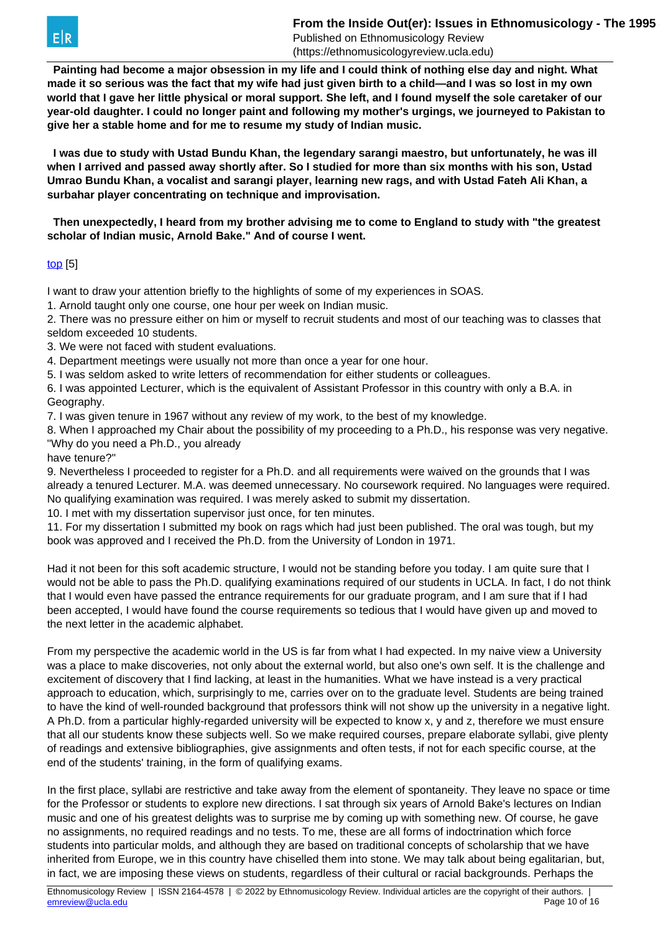

 **Painting had become a major obsession in my life and I could think of nothing else day and night. What made it so serious was the fact that my wife had just given birth to a child—and I was so lost in my own world that I gave her little physical or moral support. She left, and I found myself the sole caretaker of our year-old daughter. I could no longer paint and following my mother's urgings, we journeyed to Pakistan to give her a stable home and for me to resume my study of Indian music.**

 **I was due to study with Ustad Bundu Khan, the legendary sarangi maestro, but unfortunately, he was ill when I arrived and passed away shortly after. So I studied for more than six months with his son, Ustad Umrao Bundu Khan, a vocalist and sarangi player, learning new rags, and with Ustad Fateh Ali Khan, a surbahar player concentrating on technique and improvisation.**

 **Then unexpectedly, I heard from my brother advising me to come to England to study with "the greatest scholar of Indian music, Arnold Bake." And of course I went.**

## [top](https://ethnomusicologyreview.ucla.edu/V14Jairazbhoy.html) [5]

I want to draw your attention briefly to the highlights of some of my experiences in SOAS.

1. Arnold taught only one course, one hour per week on Indian music.

2. There was no pressure either on him or myself to recruit students and most of our teaching was to classes that seldom exceeded 10 students.

3. We were not faced with student evaluations.

4. Department meetings were usually not more than once a year for one hour.

5. I was seldom asked to write letters of recommendation for either students or colleagues.

6. I was appointed Lecturer, which is the equivalent of Assistant Professor in this country with only a B.A. in Geography.

7. I was given tenure in 1967 without any review of my work, to the best of my knowledge.

8. When I approached my Chair about the possibility of my proceeding to a Ph.D., his response was very negative. "Why do you need a Ph.D., you already

have tenure?"

9. Nevertheless I proceeded to register for a Ph.D. and all requirements were waived on the grounds that I was already a tenured Lecturer. M.A. was deemed unnecessary. No coursework required. No languages were required. No qualifying examination was required. I was merely asked to submit my dissertation.

10. I met with my dissertation supervisor just once, for ten minutes.

11. For my dissertation I submitted my book on rags which had just been published. The oral was tough, but my book was approved and I received the Ph.D. from the University of London in 1971.

Had it not been for this soft academic structure, I would not be standing before you today. I am quite sure that I would not be able to pass the Ph.D. qualifying examinations required of our students in UCLA. In fact, I do not think that I would even have passed the entrance requirements for our graduate program, and I am sure that if I had been accepted, I would have found the course requirements so tedious that I would have given up and moved to the next letter in the academic alphabet.

From my perspective the academic world in the US is far from what I had expected. In my naive view a University was a place to make discoveries, not only about the external world, but also one's own self. It is the challenge and excitement of discovery that I find lacking, at least in the humanities. What we have instead is a very practical approach to education, which, surprisingly to me, carries over on to the graduate level. Students are being trained to have the kind of well-rounded background that professors think will not show up the university in a negative light. A Ph.D. from a particular highly-regarded university will be expected to know x, y and z, therefore we must ensure that all our students know these subjects well. So we make required courses, prepare elaborate syllabi, give plenty of readings and extensive bibliographies, give assignments and often tests, if not for each specific course, at the end of the students' training, in the form of qualifying exams.

In the first place, syllabi are restrictive and take away from the element of spontaneity. They leave no space or time for the Professor or students to explore new directions. I sat through six years of Arnold Bake's lectures on Indian music and one of his greatest delights was to surprise me by coming up with something new. Of course, he gave no assignments, no required readings and no tests. To me, these are all forms of indoctrination which force students into particular molds, and although they are based on traditional concepts of scholarship that we have inherited from Europe, we in this country have chiselled them into stone. We may talk about being egalitarian, but, in fact, we are imposing these views on students, regardless of their cultural or racial backgrounds. Perhaps the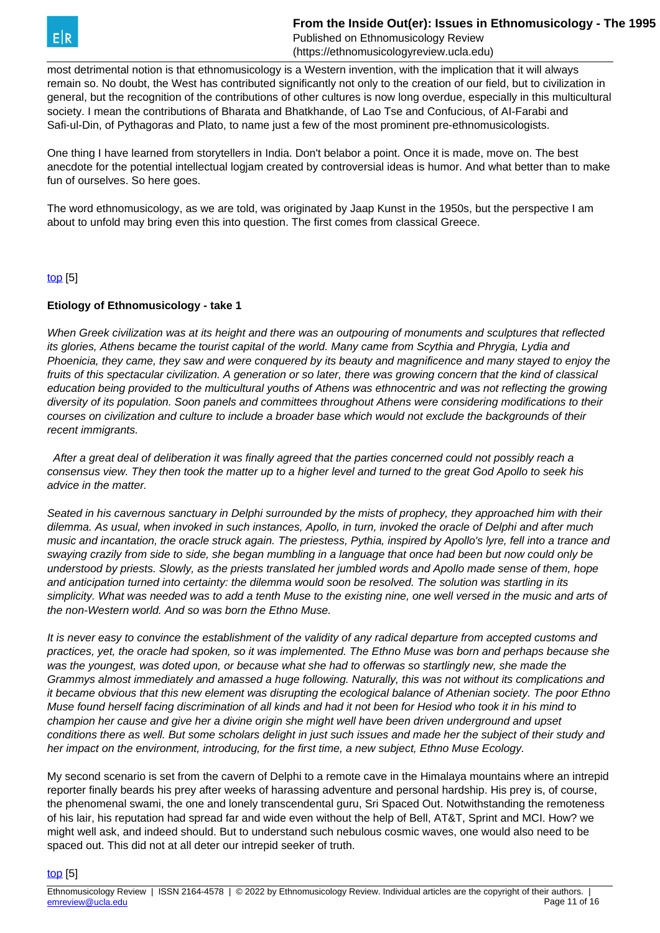

most detrimental notion is that ethnomusicology is a Western invention, with the implication that it will always remain so. No doubt, the West has contributed significantly not only to the creation of our field, but to civilization in general, but the recognition of the contributions of other cultures is now long overdue, especially in this multicultural society. I mean the contributions of Bharata and Bhatkhande, of Lao Tse and Confucious, of AI-Farabi and Safi-ul-Din, of Pythagoras and Plato, to name just a few of the most prominent pre-ethnomusicologists.

One thing I have learned from storytellers in India. Don't belabor a point. Once it is made, move on. The best anecdote for the potential intellectual logiam created by controversial ideas is humor. And what better than to make fun of ourselves. So here goes.

The word ethnomusicology, as we are told, was originated by Jaap Kunst in the 1950s, but the perspective I am about to unfold may bring even this into question. The first comes from classical Greece.

#### [top](https://ethnomusicologyreview.ucla.edu/V14Jairazbhoy.html) [5]

#### **Etiology of Ethnomusicology - take 1**

When Greek civilization was at its height and there was an outpouring of monuments and sculptures that reflected its glories, Athens became the tourist capitaI of the world. Many came from Scythia and Phrygia, Lydia and Phoenicia, they came, they saw and were conquered by its beauty and magnificence and many stayed to enjoy the fruits of this spectacular civilization. A generation or so later, there was growing concern that the kind of classical education being provided to the multicultural youths of Athens was ethnocentric and was not reflecting the growing diversity of its population. Soon panels and committees throughout Athens were considering modifications to their courses on civilization and culture to include a broader base which would not exclude the backgrounds of their recent immigrants.

 After a great deal of deliberation it was finally agreed that the parties concerned could not possibly reach a consensus view. They then took the matter up to a higher level and turned to the great God Apollo to seek his advice in the matter.

Seated in his cavernous sanctuary in Delphi surrounded by the mists of prophecy, they approached him with their dilemma. As usual, when invoked in such instances, Apollo, in turn, invoked the oracle of Delphi and after much music and incantation, the oracle struck again. The priestess, Pythia, inspired by Apollo's lyre, fell into a trance and swaying crazily from side to side, she began mumbling in a language that once had been but now could only be understood by priests. Slowly, as the priests translated her jumbled words and Apollo made sense of them, hope and anticipation turned into certainty: the dilemma would soon be resolved. The solution was startling in its simplicity. What was needed was to add a tenth Muse to the existing nine, one well versed in the music and arts of the non-Western world. And so was born the Ethno Muse.

It is never easy to convince the establishment of the validity of any radical departure from accepted customs and practices, yet, the oracle had spoken, so it was implemented. The Ethno Muse was born and perhaps because she was the youngest, was doted upon, or because what she had to offerwas so startlingly new, she made the Grammys almost immediately and amassed a huge following. Naturally, this was not without its complications and it became obvious that this new element was disrupting the ecological balance of Athenian society. The poor Ethno Muse found herself facing discrimination of all kinds and had it not been for Hesiod who took it in his mind to champion her cause and give her a divine origin she might well have been driven underground and upset conditions there as well. But some scholars delight in just such issues and made her the subject of their study and her impact on the environment, introducing, for the first time, a new subject, Ethno Muse Ecology.

My second scenario is set from the cavern of Delphi to a remote cave in the Himalaya mountains where an intrepid reporter finally beards his prey after weeks of harassing adventure and personal hardship. His prey is, of course, the phenomenal swami, the one and lonely transcendental guru, Sri Spaced Out. Notwithstanding the remoteness of his lair, his reputation had spread far and wide even without the help of Bell, AT&T, Sprint and MCI. How? we might well ask, and indeed should. But to understand such nebulous cosmic waves, one would also need to be spaced out. This did not at all deter our intrepid seeker of truth.

#### [top](https://ethnomusicologyreview.ucla.edu/V14Jairazbhoy.html) [5]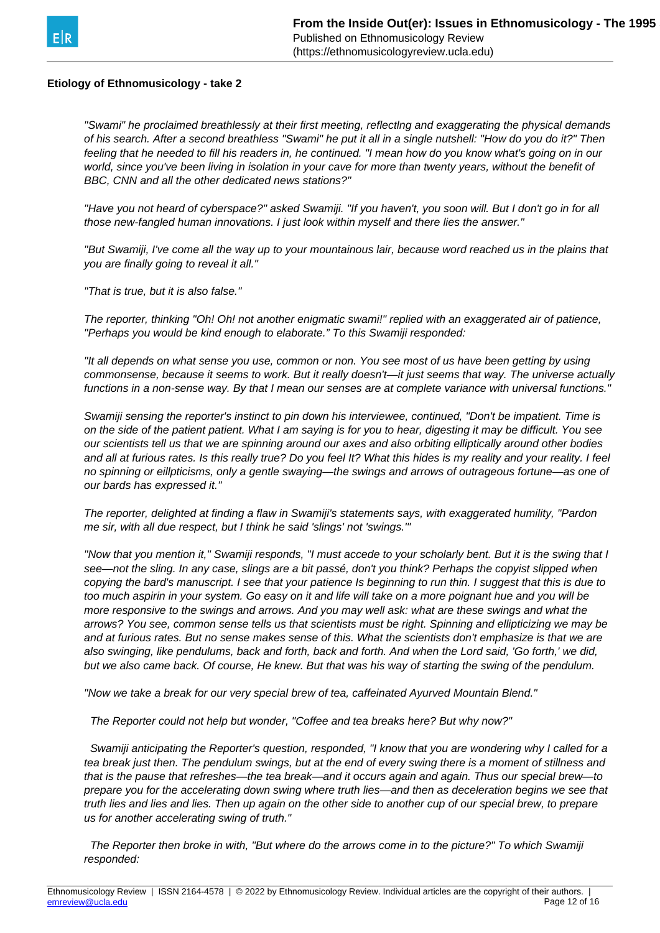

#### **Etiology of Ethnomusicology - take 2**

"Swami" he proclaimed breathlessly at their first meeting, reflectlng and exaggerating the physical demands of his search. After a second breathless "Swami" he put it all in a single nutshell: "How do you do it?" Then feeling that he needed to fill his readers in, he continued. "I mean how do you know what's going on in our world, since you've been living in isolation in your cave for more than twenty years, without the benefit of BBC, CNN and all the other dedicated news stations?"

"Have you not heard of cyberspace?" asked Swamiji. "If you haven't, you soon will. But I don't go in for all those new-fangled human innovations. I just look within myself and there lies the answer."

"But Swamiji, I've come all the way up to your mountainous lair, because word reached us in the plains that you are finally going to reveal it all."

"That is true, but it is also false."

The reporter, thinking "Oh! Oh! not another enigmatic swami!" replied with an exaggerated air of patience, "Perhaps you would be kind enough to elaborate." To this Swamiji responded:

"It all depends on what sense you use, common or non. You see most of us have been getting by using commonsense, because it seems to work. But it really doesn't—it just seems that way. The universe actually functions in a non-sense way. By that I mean our senses are at complete variance with universal functions."

Swamiji sensing the reporter's instinct to pin down his interviewee, continued, "Don't be impatient. Time is on the side of the patient patient. What I am saying is for you to hear, digesting it may be difficult. You see our scientists tell us that we are spinning around our axes and also orbiting elliptically around other bodies and all at furious rates. Is this really true? Do you feel It? What this hides is my reality and your reality. I feel no spinning or eillpticisms, only a gentle swaying—the swings and arrows of outrageous fortune—as one of our bards has expressed it."

The reporter, delighted at finding a flaw in Swamiji's statements says, with exaggerated humility, "Pardon me sir, with all due respect, but I think he said 'slings' not 'swings.'"

"Now that you mention it," Swamiji responds, "I must accede to your scholarly bent. But it is the swing that I see—not the sling. In any case, slings are a bit passé, don't you think? Perhaps the copyist slipped when copying the bard's manuscript. I see that your patience Is beginning to run thin. I suggest that this is due to too much aspirin in your system. Go easy on it and life will take on a more poignant hue and you will be more responsive to the swings and arrows. And you may well ask: what are these swings and what the arrows? You see, common sense tells us that scientists must be right. Spinning and ellipticizing we may be and at furious rates. But no sense makes sense of this. What the scientists don't emphasize is that we are also swinging, like pendulums, back and forth, back and forth. And when the Lord said, 'Go forth,' we did, but we also came back. Of course, He knew. But that was his way of starting the swing of the pendulum.

"Now we take a break for our very special brew of tea, caffeinated Ayurved Mountain Blend."

The Reporter could not help but wonder, "Coffee and tea breaks here? But why now?"

 Swamiji anticipating the Reporter's question, responded, "I know that you are wondering why I called for a tea break just then. The pendulum swings, but at the end of every swing there is a moment of stillness and that is the pause that refreshes—the tea break—and it occurs again and again. Thus our special brew—to prepare you for the accelerating down swing where truth lies—and then as deceleration begins we see that truth lies and lies and lies. Then up again on the other side to another cup of our special brew, to prepare us for another accelerating swing of truth."

 The Reporter then broke in with, "But where do the arrows come in to the picture?" To which Swamiji responded: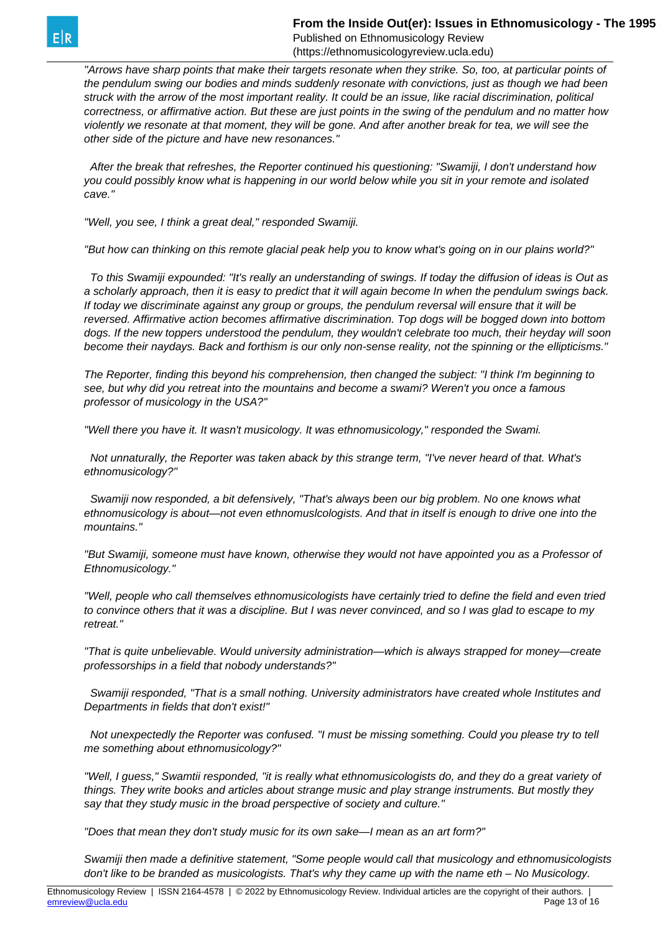**From the Inside Out(er): Issues in Ethnomusicology - The 1995** Published on Ethnomusicology Review

(https://ethnomusicologyreview.ucla.edu)

"Arrows have sharp points that make their targets resonate when they strike. So, too, at particular points of the pendulum swing our bodies and minds suddenly resonate with convictions, just as though we had been struck with the arrow of the most important reality. It could be an issue, like racial discrimination, political correctness, or affirmative action. But these are just points in the swing of the pendulum and no matter how violently we resonate at that moment, they will be gone. And after another break for tea, we will see the other side of the picture and have new resonances."

 After the break that refreshes, the Reporter continued his questioning: "Swamiji, I don't understand how you could possibly know what is happening in our world below while you sit in your remote and isolated cave."

"Well, you see, I think a great deal," responded Swamiji.

"But how can thinking on this remote glacial peak help you to know what's going on in our plains world?"

 To this Swamiji expounded: "It's really an understanding of swings. If today the diffusion of ideas is Out as a scholarly approach, then it is easy to predict that it will again become In when the pendulum swings back. If today we discriminate against any group or groups, the pendulum reversal will ensure that it will be reversed. Affirmative action becomes affirmative discrimination. Top dogs will be bogged down into bottom dogs. If the new toppers understood the pendulum, they wouldn't celebrate too much, their heyday will soon become their naydays. Back and forthism is our only non-sense reality, not the spinning or the ellipticisms."

The Reporter, finding this beyond his comprehension, then changed the subject: "I think I'm beginning to see, but why did you retreat into the mountains and become a swami? Weren't you once a famous professor of musicology in the USA?"

"Well there you have it. It wasn't musicology. It was ethnomusicology," responded the Swami.

 Not unnaturally, the Reporter was taken aback by this strange term, "I've never heard of that. What's ethnomusicology?"

 Swamiji now responded, a bit defensively, "That's always been our big problem. No one knows what ethnomusicology is about—not even ethnomuslcologists. And that in itself is enough to drive one into the mountains."

"But Swamiji, someone must have known, otherwise they would not have appointed you as a Professor of Ethnomusicology."

"Well, people who call themselves ethnomusicologists have certainly tried to define the field and even tried to convince others that it was a discipline. But I was never convinced, and so I was glad to escape to my retreat."

"That is quite unbelievable. Would university administration—which is always strapped for money—create professorships in a field that nobody understands?"

 Swamiji responded, "That is a small nothing. University administrators have created whole Institutes and Departments in fields that don't exist!"

 Not unexpectedly the Reporter was confused. "I must be missing something. Could you please try to tell me something about ethnomusicology?"

"Well, I guess," Swamtii responded, "it is really what ethnomusicologists do, and they do a great variety of things. They write books and articles about strange music and play strange instruments. But mostly they say that they study music in the broad perspective of society and culture."

"Does that mean they don't study music for its own sake—I mean as an art form?"

Swamiji then made a definitive statement, "Some people would call that musicology and ethnomusicologists don't like to be branded as musicologists. That's why they came up with the name eth – No Musicology.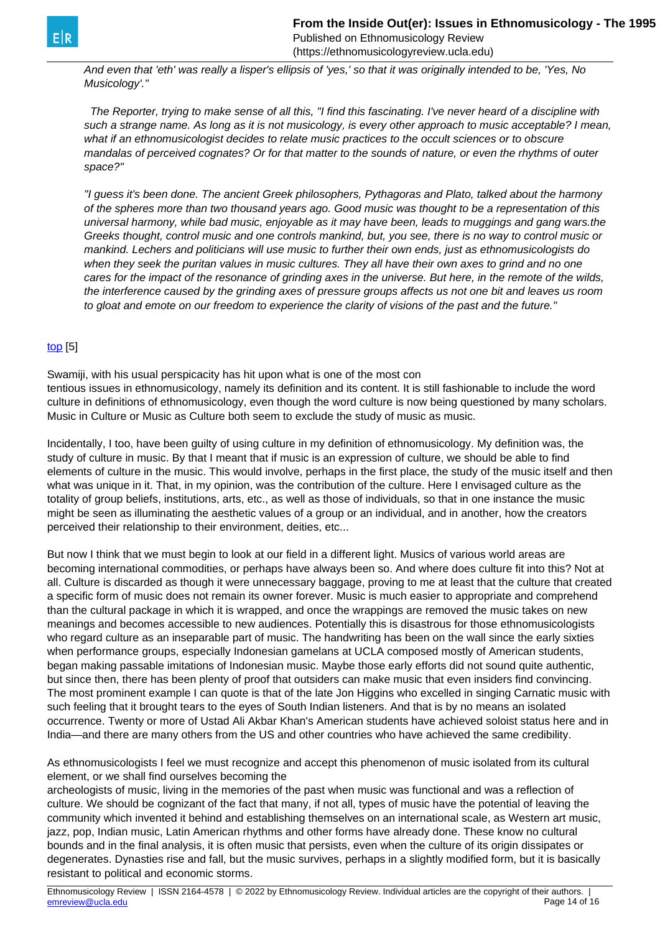And even that 'eth' was really a lisper's ellipsis of 'yes,' so that it was originally intended to be, 'Yes, No Musicology'."

 The Reporter, trying to make sense of all this, "I find this fascinating. I've never heard of a discipline with such a strange name. As long as it is not musicology, is every other approach to music acceptable? I mean, what if an ethnomusicologist decides to relate music practices to the occult sciences or to obscure mandalas of perceived cognates? Or for that matter to the sounds of nature, or even the rhythms of outer space?"

"I guess it's been done. The ancient Greek philosophers, Pythagoras and Plato, talked about the harmony of the spheres more than two thousand years ago. Good music was thought to be a representation of this universal harmony, while bad music, enjoyable as it may have been, leads to muggings and gang wars.the Greeks thought, control music and one controls mankind, but, you see, there is no way to control music or mankind. Lechers and politicians will use music to further their own ends, just as ethnomusicologists do when they seek the puritan values in music cultures. They all have their own axes to grind and no one cares for the impact of the resonance of grinding axes in the universe. But here, in the remote of the wilds, the interference caused by the grinding axes of pressure groups affects us not one bit and leaves us room to gloat and emote on our freedom to experience the clarity of visions of the past and the future."

## [top](https://ethnomusicologyreview.ucla.edu/V14Jairazbhoy.html) [5]

Swamiji, with his usual perspicacity has hit upon what is one of the most con tentious issues in ethnomusicology, namely its definition and its content. It is still fashionable to include the word culture in definitions of ethnomusicology, even though the word culture is now being questioned by many scholars. Music in Culture or Music as Culture both seem to exclude the study of music as music.

Incidentally, I too, have been guilty of using culture in my definition of ethnomusicology. My definition was, the study of culture in music. By that I meant that if music is an expression of culture, we should be able to find elements of culture in the music. This would involve, perhaps in the first place, the study of the music itself and then what was unique in it. That, in my opinion, was the contribution of the culture. Here I envisaged culture as the totality of group beliefs, institutions, arts, etc., as well as those of individuals, so that in one instance the music might be seen as illuminating the aesthetic values of a group or an individual, and in another, how the creators perceived their relationship to their environment, deities, etc...

But now I think that we must begin to look at our field in a different light. Musics of various world areas are becoming international commodities, or perhaps have always been so. And where does culture fit into this? Not at all. Culture is discarded as though it were unnecessary baggage, proving to me at least that the culture that created a specific form of music does not remain its owner forever. Music is much easier to appropriate and comprehend than the cultural package in which it is wrapped, and once the wrappings are removed the music takes on new meanings and becomes accessible to new audiences. Potentially this is disastrous for those ethnomusicologists who regard culture as an inseparable part of music. The handwriting has been on the wall since the early sixties when performance groups, especially Indonesian gamelans at UCLA composed mostly of American students, began making passable imitations of Indonesian music. Maybe those early efforts did not sound quite authentic, but since then, there has been plenty of proof that outsiders can make music that even insiders find convincing. The most prominent example I can quote is that of the late Jon Higgins who excelled in singing Carnatic music with such feeling that it brought tears to the eyes of South Indian listeners. And that is by no means an isolated occurrence. Twenty or more of Ustad Ali Akbar Khan's American students have achieved soloist status here and in India—and there are many others from the US and other countries who have achieved the same credibility.

As ethnomusicologists I feel we must recognize and accept this phenomenon of music isolated from its cultural element, or we shall find ourselves becoming the

archeologists of music, living in the memories of the past when music was functional and was a reflection of culture. We should be cognizant of the fact that many, if not all, types of music have the potential of leaving the community which invented it behind and establishing themselves on an international scale, as Western art music, jazz, pop, Indian music, Latin American rhythms and other forms have already done. These know no cultural bounds and in the final analysis, it is often music that persists, even when the culture of its origin dissipates or degenerates. Dynasties rise and fall, but the music survives, perhaps in a slightly modified form, but it is basically resistant to political and economic storms.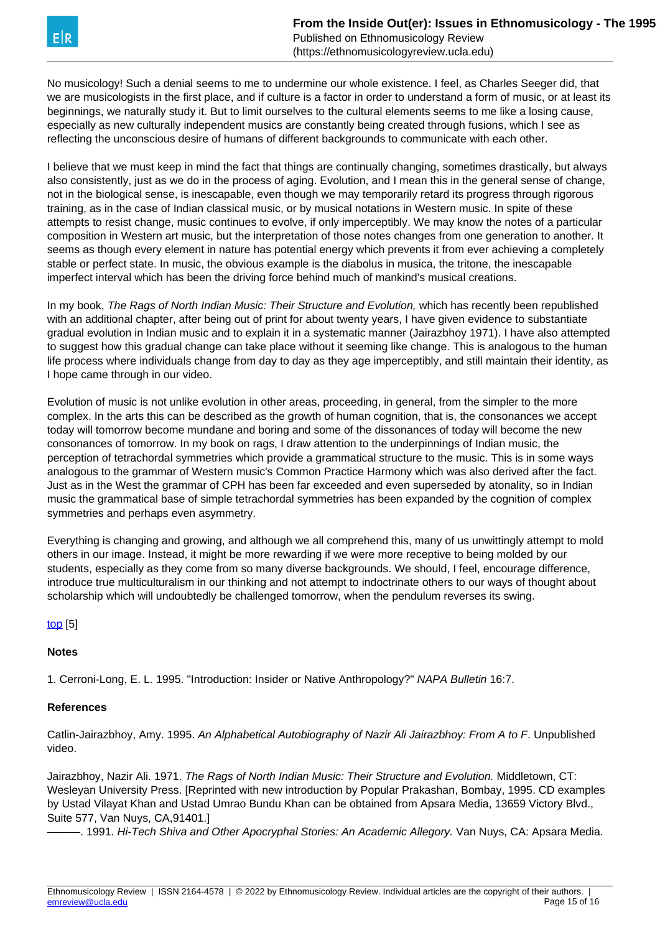No musicology! Such a denial seems to me to undermine our whole existence. I feel, as Charles Seeger did, that we are musicologists in the first place, and if culture is a factor in order to understand a form of music, or at least its beginnings, we naturally study it. But to limit ourselves to the cultural elements seems to me like a losing cause, especially as new culturally independent musics are constantly being created through fusions, which I see as reflecting the unconscious desire of humans of different backgrounds to communicate with each other.

I believe that we must keep in mind the fact that things are continually changing, sometimes drastically, but always also consistently, just as we do in the process of aging. Evolution, and I mean this in the general sense of change, not in the biological sense, is inescapable, even though we may temporarily retard its progress through rigorous training, as in the case of Indian classical music, or by musical notations in Western music. In spite of these attempts to resist change, music continues to evolve, if only imperceptibly. We may know the notes of a particular composition in Western art music, but the interpretation of those notes changes from one generation to another. It seems as though every element in nature has potential energy which prevents it from ever achieving a completely stable or perfect state. In music, the obvious example is the diabolus in musica, the tritone, the inescapable imperfect interval which has been the driving force behind much of mankind's musical creations.

In my book, The Rags of North Indian Music: Their Structure and Evolution, which has recently been republished with an additional chapter, after being out of print for about twenty years, I have given evidence to substantiate gradual evolution in Indian music and to explain it in a systematic manner (Jairazbhoy 1971). I have also attempted to suggest how this gradual change can take place without it seeming like change. This is analogous to the human life process where individuals change from day to day as they age imperceptibly, and still maintain their identity, as I hope came through in our video.

Evolution of music is not unlike evolution in other areas, proceeding, in general, from the simpler to the more complex. In the arts this can be described as the growth of human cognition, that is, the consonances we accept today will tomorrow become mundane and boring and some of the dissonances of today will become the new consonances of tomorrow. In my book on rags, I draw attention to the underpinnings of Indian music, the perception of tetrachordal symmetries which provide a grammatical structure to the music. This is in some ways analogous to the grammar of Western music's Common Practice Harmony which was also derived after the fact. Just as in the West the grammar of CPH has been far exceeded and even superseded by atonality, so in Indian music the grammatical base of simple tetrachordal symmetries has been expanded by the cognition of complex symmetries and perhaps even asymmetry.

Everything is changing and growing, and although we all comprehend this, many of us unwittingly attempt to mold others in our image. Instead, it might be more rewarding if we were more receptive to being molded by our students, especially as they come from so many diverse backgrounds. We should, I feel, encourage difference, introduce true multiculturalism in our thinking and not attempt to indoctrinate others to our ways of thought about scholarship which will undoubtedly be challenged tomorrow, when the pendulum reverses its swing.

# [top](https://ethnomusicologyreview.ucla.edu/V14Jairazbhoy.html) [5]

# **Notes**

1. Cerroni-Long, E. L. 1995. "Introduction: Insider or Native Anthropology?" NAPA Bulletin 16:7.

# **References**

Catlin-Jairazbhoy, Amy. 1995. An Alphabetical Autobiography of Nazir Ali Jairazbhoy: From A to F. Unpublished video.

Jairazbhoy, Nazir Ali. 1971. The Rags of North Indian Music: Their Structure and Evolution. Middletown, CT: Wesleyan University Press. [Reprinted with new introduction by Popular Prakashan, Bombay, 1995. CD examples by Ustad Vilayat Khan and Ustad Umrao Bundu Khan can be obtained from Apsara Media, 13659 Victory Blvd., Suite 577, Van Nuys, CA,91401.]

———. 1991. Hi-Tech Shiva and Other Apocryphal Stories: An Academic Allegory. Van Nuys, CA: Apsara Media.